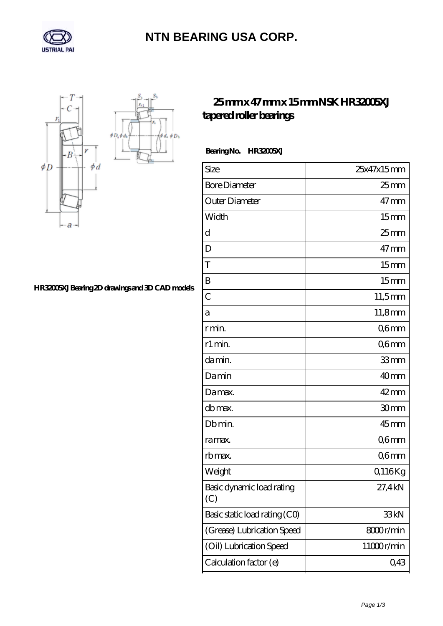

# **[NTN BEARING USA CORP.](https://team-winfakt.net)**

 $\oint D_h$ φà,



### **[HR32005XJ Bearing 2D drawings and 3D CAD models](https://team-winfakt.net/pic-379505.html)**

### **[25 mm x 47 mm x 15 mm NSK HR32005XJ](https://team-winfakt.net/bh-379505-nsk-hr32005xj-tapered-roller-bearings.html) [tapered roller bearings](https://team-winfakt.net/bh-379505-nsk-hr32005xj-tapered-roller-bearings.html)**

#### Bearing No. HR32005XJ

| Size                             | 25x47x15mm       |
|----------------------------------|------------------|
| <b>Bore Diameter</b>             | $25 \text{mm}$   |
| Outer Diameter                   | $47$ mm          |
| Width                            | 15 <sub>mm</sub> |
| d                                | $25$ mm          |
| D                                | $47$ mm          |
| T                                | 15 <sub>mm</sub> |
| B                                | 15 <sub>mm</sub> |
| $\overline{C}$                   | $11,5$ mm        |
| а                                | 11,8mm           |
| r min.                           | Q6mm             |
| r1 min.                          | Q6mm             |
| da min.                          | 33mm             |
| Damin                            | 40mm             |
| Damax.                           | $42 \text{mm}$   |
| db max.                          | 30mm             |
| Db min.                          | $45$ mm          |
| ra max.                          | Q6mm             |
| rb max.                          | Q6mm             |
| Weight                           | Q116Kg           |
| Basic dynamic load rating<br>(C) | 27,4kN           |
| Basic static load rating (CO)    | 33kN             |
| (Grease) Lubrication Speed       | 8000r/min        |
| (Oil) Lubrication Speed          | 11000r/min       |
| Calculation factor (e)           | 0,43             |
|                                  |                  |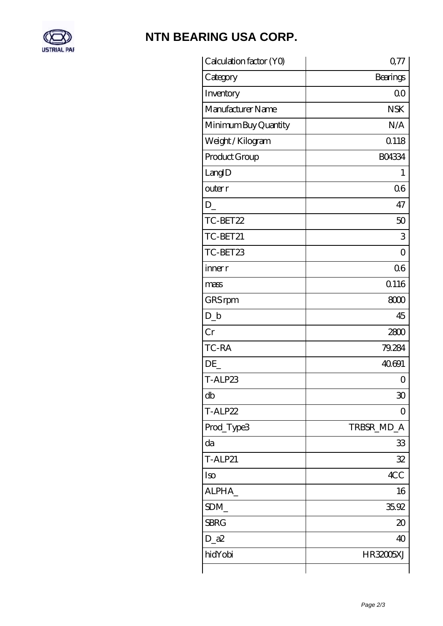

## **[NTN BEARING USA CORP.](https://team-winfakt.net)**

| Calculation factor (YO) | 077            |
|-------------------------|----------------|
| Category                | Bearings       |
| Inventory               | 0 <sup>0</sup> |
| Manufacturer Name       | <b>NSK</b>     |
| Minimum Buy Quantity    | N/A            |
| Weight / Kilogram       | 0.118          |
| Product Group           | <b>BO4334</b>  |
| LangID                  | 1              |
| outer r                 | 06             |
| D                       | 47             |
| TC-BET22                | 50             |
| TC-BET21                | 3              |
| TC-BET23                | $\overline{O}$ |
| inner r                 | 06             |
| mass                    | <b>Q116</b>    |
| GRS rpm                 | 8000           |
| $D_{b}$                 | 45             |
| Cr                      | 2800           |
| TC-RA                   | 79.284         |
| DE                      | 40691          |
| T-ALP23                 | 0              |
| db                      | 30             |
| T-ALP22                 | 0              |
| Prod_Type3              | TRBSR_MD_A     |
| da                      | 33             |
| <b>T-ALP21</b>          | 32             |
| Iso                     | 4CC            |
| ALPHA_                  | 16             |
| SDM                     | 35.92          |
| <b>SBRG</b>             | $\infty$       |
| $D_2$ a $2$             | 40             |
| hidYobi                 | HR32005XJ      |
|                         |                |